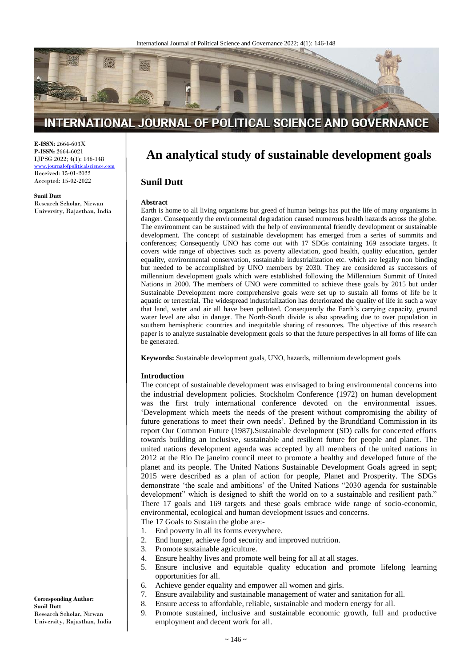

# INTERNATIONAL JOURNAL OF POLITICAL SCIENCE AND GOVERNANCE

**E-ISSN:** 2664-603X **P-ISSN:** 2664-6021 IJPSG 2022; 4(1): 146-148

www.journalofpoliticalscience. Received: 15-01-2022 Accepted: 15-02-2022

**Sunil Dutt**

Research Scholar, Nirwan University, Rajasthan, India

# **An analytical study of sustainable development goals**

# **Sunil Dutt**

#### **Abstract**

Earth is home to all living organisms but greed of human beings has put the life of many organisms in danger. Consequently the environmental degradation caused numerous health hazards across the globe. The environment can be sustained with the help of environmental friendly development or sustainable development. The concept of sustainable development has emerged from a series of summits and conferences; Consequently UNO has come out with 17 SDGs containing 169 associate targets. It covers wide range of objectives such as poverty alleviation, good health, quality education, gender equality, environmental conservation, sustainable industrialization etc. which are legally non binding but needed to be accomplished by UNO members by 2030. They are considered as successors of millennium development goals which were established following the Millennium Summit of United Nations in 2000. The members of UNO were committed to achieve these goals by 2015 but under Sustainable Development more comprehensive goals were set up to sustain all forms of life be it aquatic or terrestrial. The widespread industrialization has deteriorated the quality of life in such a way that land, water and air all have been polluted. Consequently the Earth's carrying capacity, ground water level are also in danger. The North-South divide is also spreading due to over population in southern hemispheric countries and inequitable sharing of resources. The objective of this research paper is to analyze sustainable development goals so that the future perspectives in all forms of life can be generated.

**Keywords:** Sustainable development goals, UNO, hazards, millennium development goals

#### **Introduction**

The concept of sustainable development was envisaged to bring environmental concerns into the industrial development policies. Stockholm Conference (1972) on human development was the first truly international conference devoted on the environmental issues. 'Development which meets the needs of the present without compromising the ability of future generations to meet their own needs'. Defined by the Brundtland Commission in its report Our Common Future (1987).Sustainable development (SD) calls for concerted efforts towards building an inclusive, sustainable and resilient future for people and planet. The united nations development agenda was accepted by all members of the united nations in 2012 at the Rio De janeiro council meet to promote a healthy and developed future of the planet and its people. The United Nations Sustainable Development Goals agreed in sept; 2015 were described as a plan of action for people, Planet and Prosperity. The SDGs demonstrate 'the scale and ambitions' of the United Nations "2030 agenda for sustainable development" which is designed to shift the world on to a sustainable and resilient path." There 17 goals and 169 targets and these goals embrace wide range of socio-economic, environmental, ecological and human development issues and concerns.

The 17 Goals to Sustain the globe are:-

- 1. End poverty in all its forms everywhere.
- 2. End hunger, achieve food security and improved nutrition.
- 3. Promote sustainable agriculture.
- 4. Ensure healthy lives and promote well being for all at all stages.
- 5. Ensure inclusive and equitable quality education and promote lifelong learning opportunities for all.
- 6. Achieve gender equality and empower all women and girls.
- 7. Ensure availability and sustainable management of water and sanitation for all.
- 8. Ensure access to affordable, reliable, sustainable and modern energy for all.
- 9. Promote sustained, inclusive and sustainable economic growth, full and productive employment and decent work for all.

**Corresponding Author: Sunil Dutt** Research Scholar, Nirwan University, Rajasthan, India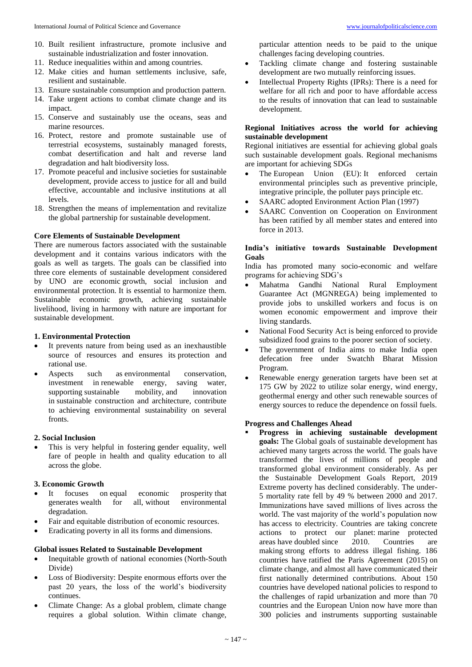- 10. Built resilient infrastructure, promote inclusive and sustainable industrialization and foster innovation.
- 11. Reduce inequalities within and among countries.
- 12. Make cities and human settlements inclusive, safe, resilient and sustainable.
- 13. Ensure sustainable consumption and production pattern.
- 14. Take urgent actions to combat climate change and its impact.
- 15. Conserve and sustainably use the oceans, seas and marine resources.
- 16. Protect, restore and promote sustainable use of terrestrial ecosystems, sustainably managed forests, combat desertification and halt and reverse land degradation and halt biodiversity loss.
- 17. Promote peaceful and inclusive societies for sustainable development, provide access to justice for all and build effective, accountable and inclusive institutions at all levels.
- 18. Strengthen the means of implementation and revitalize the global partnership for sustainable development.

# **Core Elements of Sustainable Development**

There are numerous factors associated with the sustainable development and it contains various indicators with the goals as well as targets. The goals can be classified into three core elements of sustainable development considered by UNO are economic growth, social inclusion and environmental protection. It is essential to harmonize them. Sustainable economic growth, achieving sustainable livelihood, living in harmony with nature are important for sustainable development.

# **1. Environmental Protection**

- It prevents nature from being used as an inexhaustible source of resources and ensures its protection and rational use.
- Aspects such as environmental conservation, investment in renewable energy, saving water,<br>supporting sustainable mobility, and innovation supporting sustainable mobility, and innovation in sustainable construction and architecture, contribute to achieving environmental sustainability on several fronts.

#### **2. Social Inclusion**

 This is very helpful in fostering gender equality, well fare of people in health and quality education to all across the globe.

# **3. Economic Growth**

- It focuses on equal economic prosperity that generates wealth for all, without environmental degradation.
- Fair and equitable distribution of economic resources.
- Eradicating poverty in all its forms and dimensions.

#### **Global issues Related to Sustainable Development**

- Inequitable growth of national economies (North-South Divide)
- Loss of Biodiversity: Despite enormous efforts over the past 20 years, the loss of the world's biodiversity continues.
- Climate Change: As a global problem, climate change requires a global solution. Within climate change,
- Tackling climate change and fostering sustainable development are two mutually reinforcing issues.
- Intellectual Property Rights (IPRs): There is a need for welfare for all rich and poor to have affordable access to the results of innovation that can lead to sustainable development.

# **Regional Initiatives across the world for achieving sustainable development**

Regional initiatives are essential for achieving global goals such sustainable development goals. Regional mechanisms are important for achieving SDGs

- The European Union (EU): It enforced certain environmental principles such as preventive principle, integrative principle, the polluter pays principle etc.
- SAARC adopted Environment Action Plan (1997)
- SAARC Convention on Cooperation on Environment has been ratified by all member states and entered into force in 2013.

# **India's initiative towards Sustainable Development Goals**

India has promoted many socio-economic and welfare programs for achieving SDG's

- Mahatma Gandhi National Rural Employment Guarantee Act (MGNREGA) being implemented to provide jobs to unskilled workers and focus is on women economic empowerment and improve their living standards.
- National Food Security Act is being enforced to provide subsidized food grains to the poorer section of society.
- The government of India aims to make India open defecation free under Swatchh Bharat Mission Program.
- Renewable energy generation targets have been set at 175 GW by 2022 to utilize solar energy, wind energy, geothermal energy and other such renewable sources of energy sources to reduce the dependence on fossil fuels.

# **Progress and Challenges Ahead**

 **Progress in achieving sustainable development goals:** The Global goals of sustainable development has achieved many targets across the world. The goals have transformed the lives of millions of people and transformed global environment considerably. As per the Sustainable Development Goals Report, 2019 Extreme poverty has declined considerably. The under-5 mortality rate fell by 49 % between 2000 and 2017. Immunizations have saved millions of lives across the world. The vast majority of the world's population now has access to electricity. Countries are taking concrete actions to protect our planet: marine protected areas have doubled since 2010. Countries are making strong efforts to address illegal fishing. 186 countries have ratified the Paris Agreement (2015) on climate change, and almost all have communicated their first nationally determined contributions. About 150 countries have developed national policies to respond to the challenges of rapid urbanization and more than 70 countries and the European Union now have more than 300 policies and instruments supporting sustainable